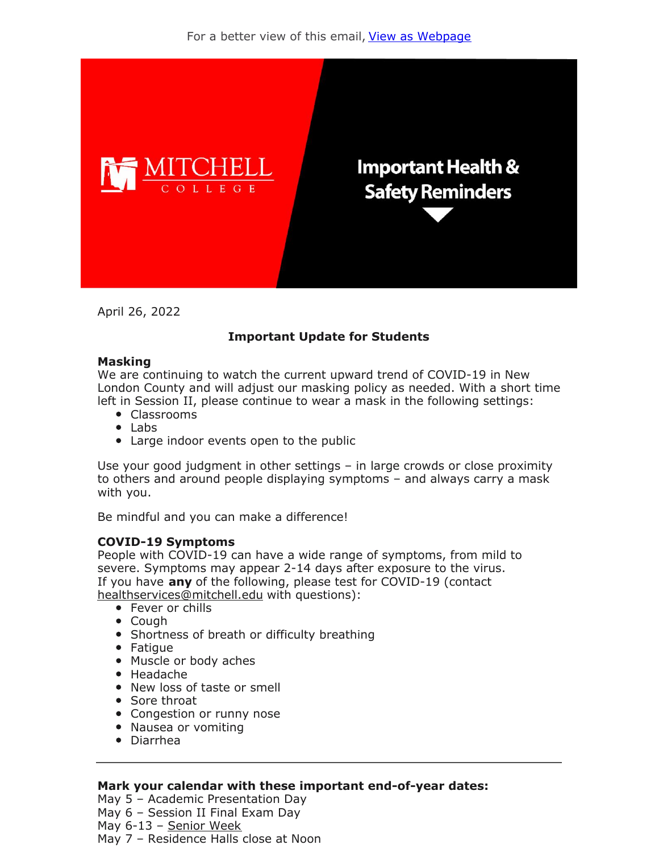

April 26, 2022

## **Important Update for Students**

#### **Masking**

We are continuing to watch the current upward trend of COVID-19 in New London County and will adjust our masking policy as needed. With a short time left in Session II, please continue to wear a mask in the following settings:

- Classrooms
- Labs
- Large indoor events open to the public

Use your good judgment in other settings – in large crowds or close proximity to others and around people displaying symptoms – and always carry a mask with you.

Be mindful and you can make a difference!

### **COVID-19 Symptoms**

People with COVID-19 can have a wide range of symptoms, from mild to severe. Symptoms may appear 2-14 days after exposure to the virus. If you have **any** of the following, please test for COVID-19 (contact healthservices@mitchell.edu with questions):

- Fever or chills
- Cough
- Shortness of breath or difficulty breathing
- Fatigue
- Muscle or body aches
- Headache
- New loss of taste or smell
- Sore throat
- Congestion or runny nose
- Nausea or vomiting
- Diarrhea

### **Mark your calendar with these important end-of-year dates:**

May 5 – Academic Presentation Day May 6 – Session II Final Exam Day May 6-13 – Senior Week May 7 – Residence Halls close at Noon